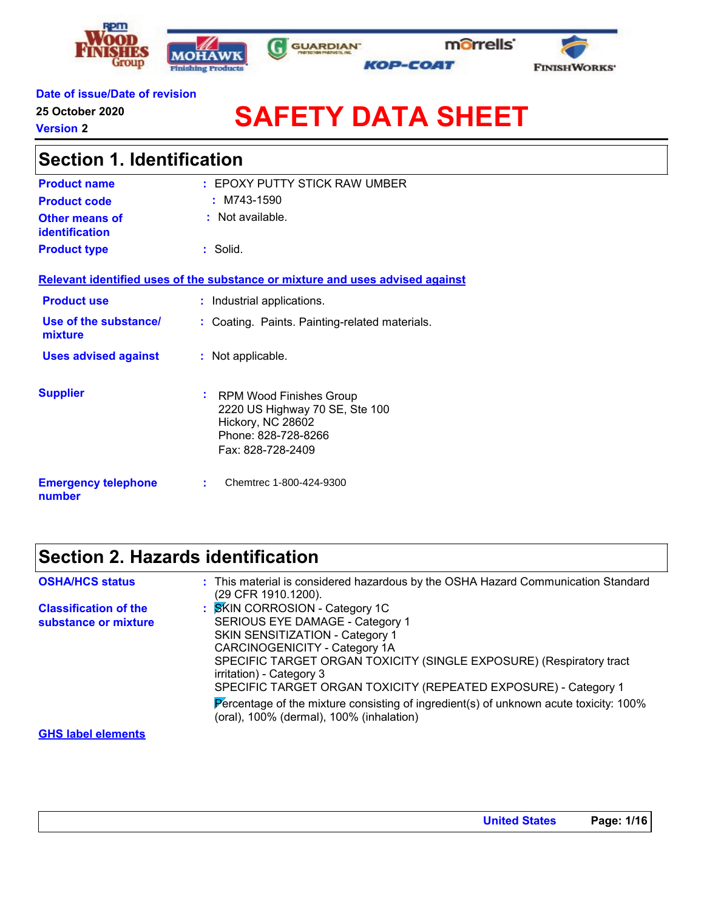





#### **Date of issue/Date of revision**

**25 October 2020**

**Version 2**

# **SAFETY DATA SHEET**

| <b>Section 1. Identification</b>     |                                                                                                                                         |  |  |  |
|--------------------------------------|-----------------------------------------------------------------------------------------------------------------------------------------|--|--|--|
| <b>Product name</b>                  | $:$ EPOXY PUTTY STICK RAW UMBER                                                                                                         |  |  |  |
| <b>Product code</b>                  | $:$ M743-1590                                                                                                                           |  |  |  |
| Other means of<br>identification     | $:$ Not available.                                                                                                                      |  |  |  |
| <b>Product type</b>                  | : Solid.                                                                                                                                |  |  |  |
|                                      | Relevant identified uses of the substance or mixture and uses advised against                                                           |  |  |  |
| <b>Product use</b>                   | : Industrial applications.                                                                                                              |  |  |  |
| Use of the substance/<br>mixture     | Coating. Paints. Painting-related materials.                                                                                            |  |  |  |
| <b>Uses advised against</b>          | : Not applicable.                                                                                                                       |  |  |  |
| <b>Supplier</b>                      | ÷.<br><b>RPM Wood Finishes Group</b><br>2220 US Highway 70 SE, Ste 100<br>Hickory, NC 28602<br>Phone: 828-728-8266<br>Fax: 828-728-2409 |  |  |  |
| <b>Emergency telephone</b><br>number | Chemtrec 1-800-424-9300                                                                                                                 |  |  |  |

G

### **Section 2. Hazards identification**

| <b>OSHA/HCS status</b>       | : This material is considered hazardous by the OSHA Hazard Communication Standard                                                 |
|------------------------------|-----------------------------------------------------------------------------------------------------------------------------------|
|                              | (29 CFR 1910.1200).                                                                                                               |
| <b>Classification of the</b> | : SKIN CORROSION - Category 1C                                                                                                    |
| substance or mixture         | SERIOUS EYE DAMAGE - Category 1                                                                                                   |
|                              | SKIN SENSITIZATION - Category 1                                                                                                   |
|                              | CARCINOGENICITY - Category 1A                                                                                                     |
|                              | SPECIFIC TARGET ORGAN TOXICITY (SINGLE EXPOSURE) (Respiratory tract                                                               |
|                              | irritation) - Category 3                                                                                                          |
|                              | SPECIFIC TARGET ORGAN TOXICITY (REPEATED EXPOSURE) - Category 1                                                                   |
|                              | Percentage of the mixture consisting of ingredient(s) of unknown acute toxicity: 100%<br>(oral), 100% (dermal), 100% (inhalation) |
| <b>GHS label elements</b>    |                                                                                                                                   |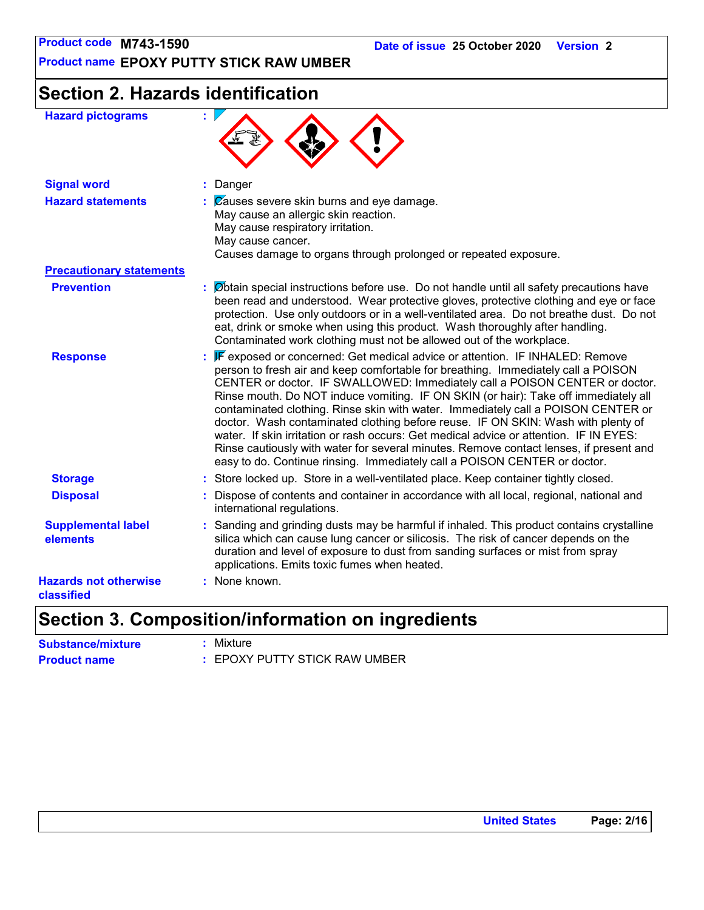**Product name EPOXY PUTTY STICK RAW UMBER**

## **Section 2. Hazards identification**

| <b>Hazard pictograms</b>                   |                                                                                                                                                                                                                                                                                                                                                                                                                                                                                                                                                                                                                                                                                                                                                                                    |
|--------------------------------------------|------------------------------------------------------------------------------------------------------------------------------------------------------------------------------------------------------------------------------------------------------------------------------------------------------------------------------------------------------------------------------------------------------------------------------------------------------------------------------------------------------------------------------------------------------------------------------------------------------------------------------------------------------------------------------------------------------------------------------------------------------------------------------------|
| <b>Signal word</b>                         | : Danger                                                                                                                                                                                                                                                                                                                                                                                                                                                                                                                                                                                                                                                                                                                                                                           |
| <b>Hazard statements</b>                   | $\mathcal{C}$ auses severe skin burns and eye damage.<br>May cause an allergic skin reaction.<br>May cause respiratory irritation.<br>May cause cancer.<br>Causes damage to organs through prolonged or repeated exposure.                                                                                                                                                                                                                                                                                                                                                                                                                                                                                                                                                         |
| <b>Precautionary statements</b>            |                                                                                                                                                                                                                                                                                                                                                                                                                                                                                                                                                                                                                                                                                                                                                                                    |
| <b>Prevention</b>                          | $\therefore$ Øbtain special instructions before use. Do not handle until all safety precautions have<br>been read and understood. Wear protective gloves, protective clothing and eye or face<br>protection. Use only outdoors or in a well-ventilated area. Do not breathe dust. Do not<br>eat, drink or smoke when using this product. Wash thoroughly after handling.<br>Contaminated work clothing must not be allowed out of the workplace.                                                                                                                                                                                                                                                                                                                                   |
| <b>Response</b>                            | : F exposed or concerned: Get medical advice or attention. IF INHALED: Remove<br>person to fresh air and keep comfortable for breathing. Immediately call a POISON<br>CENTER or doctor. IF SWALLOWED: Immediately call a POISON CENTER or doctor.<br>Rinse mouth. Do NOT induce vomiting. IF ON SKIN (or hair): Take off immediately all<br>contaminated clothing. Rinse skin with water. Immediately call a POISON CENTER or<br>doctor. Wash contaminated clothing before reuse. IF ON SKIN: Wash with plenty of<br>water. If skin irritation or rash occurs: Get medical advice or attention. IF IN EYES:<br>Rinse cautiously with water for several minutes. Remove contact lenses, if present and<br>easy to do. Continue rinsing. Immediately call a POISON CENTER or doctor. |
| <b>Storage</b>                             | : Store locked up. Store in a well-ventilated place. Keep container tightly closed.                                                                                                                                                                                                                                                                                                                                                                                                                                                                                                                                                                                                                                                                                                |
| <b>Disposal</b>                            | Dispose of contents and container in accordance with all local, regional, national and<br>international regulations.                                                                                                                                                                                                                                                                                                                                                                                                                                                                                                                                                                                                                                                               |
| <b>Supplemental label</b><br>elements      | : Sanding and grinding dusts may be harmful if inhaled. This product contains crystalline<br>silica which can cause lung cancer or silicosis. The risk of cancer depends on the<br>duration and level of exposure to dust from sanding surfaces or mist from spray<br>applications. Emits toxic fumes when heated.                                                                                                                                                                                                                                                                                                                                                                                                                                                                 |
| <b>Hazards not otherwise</b><br>classified | : None known.                                                                                                                                                                                                                                                                                                                                                                                                                                                                                                                                                                                                                                                                                                                                                                      |

### **Section 3. Composition/information on ingredients**

| <b>Substance/mixture</b> | : Mixture                     |
|--------------------------|-------------------------------|
| <b>Product name</b>      | : EPOXY PUTTY STICK RAW UMBER |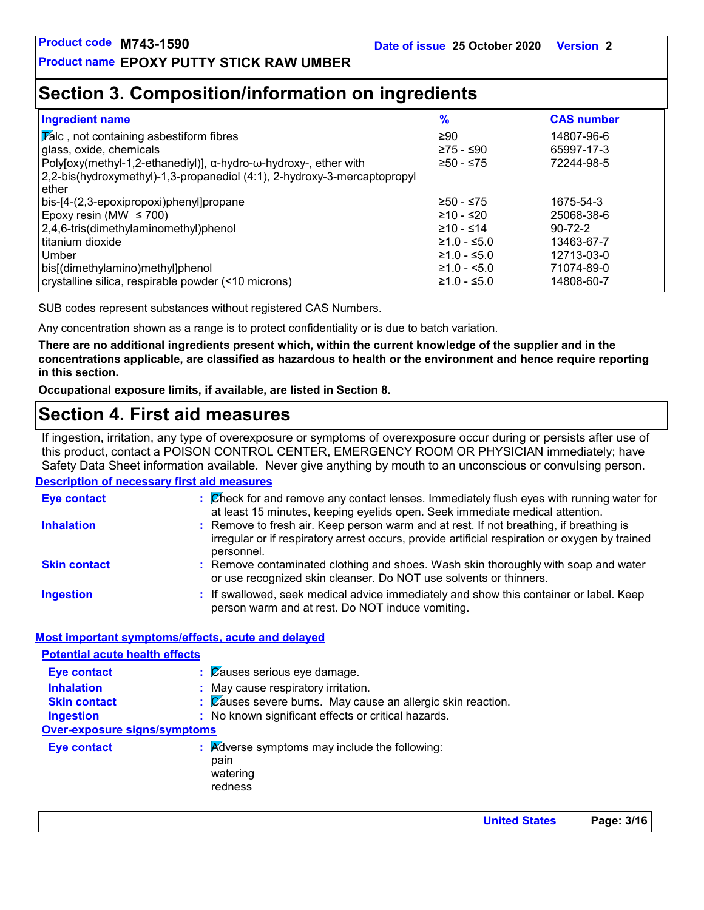### **Section 3. Composition/information on ingredients**

| <b>Ingredient name</b>                                                   | $\frac{9}{6}$    | <b>CAS number</b> |
|--------------------------------------------------------------------------|------------------|-------------------|
| $\sqrt{\mathbf{z}}$ alc, not containing asbestiform fibres               | l≥90             | 14807-96-6        |
| glass, oxide, chemicals                                                  | 275 - ≤90        | 65997-17-3        |
| Poly[oxy(methyl-1,2-ethanediyl)], α-hydro-ω-hydroxy-, ether with         | ≥50 - ≤75        | 72244-98-5        |
| 2,2-bis(hydroxymethyl)-1,3-propanediol (4:1), 2-hydroxy-3-mercaptopropyl |                  |                   |
| ether                                                                    |                  |                   |
| bis-[4-(2,3-epoxipropoxi)phenyl]propane                                  | 250 - ≤75        | 1675-54-3         |
| Epoxy resin (MW $\leq$ 700)                                              | l≥10 - ≤20       | 25068-38-6        |
| $2,4,6$ -tris(dimethylaminomethyl)phenol                                 | $≥10 - ≤14$      | $90 - 72 - 2$     |
| titanium dioxide                                                         | $\geq 1.0 - 5.0$ | 13463-67-7        |
| Umber                                                                    | $\geq 1.0 - 5.0$ | 12713-03-0        |
| bis[(dimethylamino)methyl]phenol                                         | $\geq 1.0 - 5.0$ | 71074-89-0        |
| crystalline silica, respirable powder (<10 microns)                      | $≥1.0 - ≤5.0$    | 14808-60-7        |

SUB codes represent substances without registered CAS Numbers.

Any concentration shown as a range is to protect confidentiality or is due to batch variation.

**There are no additional ingredients present which, within the current knowledge of the supplier and in the concentrations applicable, are classified as hazardous to health or the environment and hence require reporting in this section.**

**Occupational exposure limits, if available, are listed in Section 8.**

### **Section 4. First aid measures**

**Description of necessary first aid measures** If ingestion, irritation, any type of overexposure or symptoms of overexposure occur during or persists after use of this product, contact a POISON CONTROL CENTER, EMERGENCY ROOM OR PHYSICIAN immediately; have Safety Data Sheet information available. Never give anything by mouth to an unconscious or convulsing person.

| <b>Eye contact</b>  | : Check for and remove any contact lenses. Immediately flush eyes with running water for<br>at least 15 minutes, keeping eyelids open. Seek immediate medical attention.                               |
|---------------------|--------------------------------------------------------------------------------------------------------------------------------------------------------------------------------------------------------|
| <b>Inhalation</b>   | : Remove to fresh air. Keep person warm and at rest. If not breathing, if breathing is<br>irregular or if respiratory arrest occurs, provide artificial respiration or oxygen by trained<br>personnel. |
| <b>Skin contact</b> | : Remove contaminated clothing and shoes. Wash skin thoroughly with soap and water<br>or use recognized skin cleanser. Do NOT use solvents or thinners.                                                |
| <b>Ingestion</b>    | : If swallowed, seek medical advice immediately and show this container or label. Keep<br>person warm and at rest. Do NOT induce vomiting.                                                             |

#### **Most important symptoms/effects, acute and delayed**

| <b>Potential acute health effects</b> |                                                                              |
|---------------------------------------|------------------------------------------------------------------------------|
| <b>Eye contact</b>                    | $\therefore$ $\emptyset$ auses serious eye damage.                           |
| <b>Inhalation</b>                     | : May cause respiratory irritation.                                          |
| <b>Skin contact</b>                   | : Causes severe burns. May cause an allergic skin reaction.                  |
| <b>Ingestion</b>                      | : No known significant effects or critical hazards.                          |
| <b>Over-exposure signs/symptoms</b>   |                                                                              |
| Eye contact                           | : Adverse symptoms may include the following:<br>pain<br>watering<br>redness |

**United States Page: 3/16**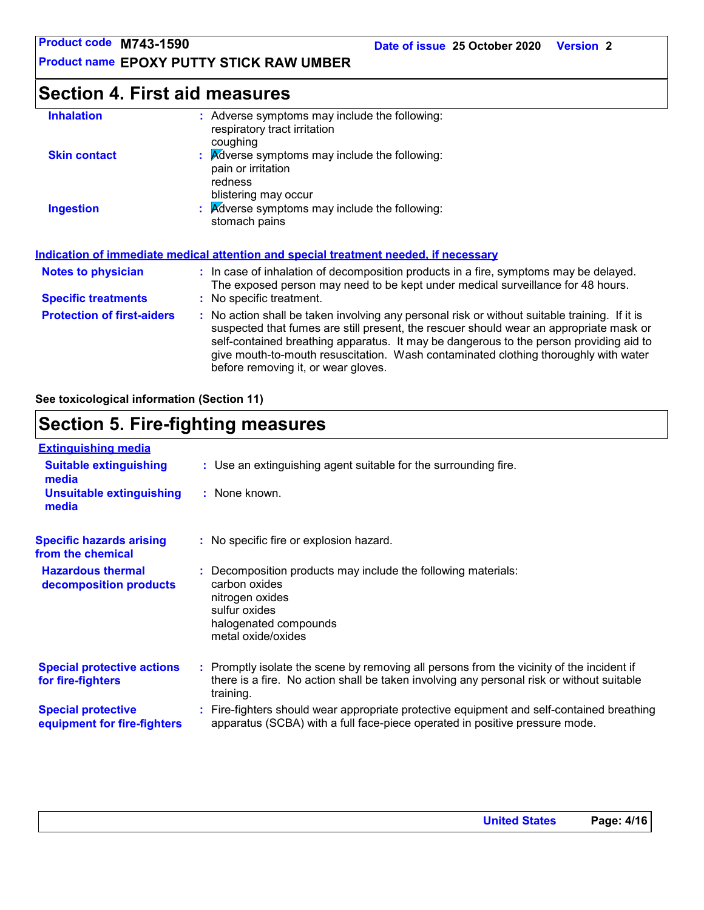### **Section 4. First aid measures**

| <b>Inhalation</b>                 | : Adverse symptoms may include the following:<br>respiratory tract irritation<br>coughing                                                                                                                                                                                                                                                                                                                       |
|-----------------------------------|-----------------------------------------------------------------------------------------------------------------------------------------------------------------------------------------------------------------------------------------------------------------------------------------------------------------------------------------------------------------------------------------------------------------|
| <b>Skin contact</b>               | : Adverse symptoms may include the following:<br>pain or irritation<br>redness<br>blistering may occur                                                                                                                                                                                                                                                                                                          |
| <b>Ingestion</b>                  | : Adverse symptoms may include the following:<br>stomach pains                                                                                                                                                                                                                                                                                                                                                  |
|                                   | <u>Indication of immediate medical attention and special treatment needed, if necessary</u>                                                                                                                                                                                                                                                                                                                     |
| <b>Notes to physician</b>         | : In case of inhalation of decomposition products in a fire, symptoms may be delayed.<br>The exposed person may need to be kept under medical surveillance for 48 hours.                                                                                                                                                                                                                                        |
| <b>Specific treatments</b>        | : No specific treatment.                                                                                                                                                                                                                                                                                                                                                                                        |
| <b>Protection of first-aiders</b> | : No action shall be taken involving any personal risk or without suitable training. If it is<br>suspected that fumes are still present, the rescuer should wear an appropriate mask or<br>self-contained breathing apparatus. It may be dangerous to the person providing aid to<br>give mouth-to-mouth resuscitation. Wash contaminated clothing thoroughly with water<br>before removing it, or wear gloves. |

**See toxicological information (Section 11)**

### **Section 5. Fire-fighting measures**

| <b>Extinguishing media</b>                               |                                                                                                                                                                                                     |
|----------------------------------------------------------|-----------------------------------------------------------------------------------------------------------------------------------------------------------------------------------------------------|
| <b>Suitable extinguishing</b><br>media                   | : Use an extinguishing agent suitable for the surrounding fire.                                                                                                                                     |
| <b>Unsuitable extinguishing</b><br>media                 | : None known.                                                                                                                                                                                       |
| <b>Specific hazards arising</b><br>from the chemical     | : No specific fire or explosion hazard.                                                                                                                                                             |
| <b>Hazardous thermal</b><br>decomposition products       | Decomposition products may include the following materials:<br>carbon oxides<br>nitrogen oxides<br>sulfur oxides<br>halogenated compounds<br>metal oxide/oxides                                     |
| <b>Special protective actions</b><br>for fire-fighters   | : Promptly isolate the scene by removing all persons from the vicinity of the incident if<br>there is a fire. No action shall be taken involving any personal risk or without suitable<br>training. |
| <b>Special protective</b><br>equipment for fire-fighters | : Fire-fighters should wear appropriate protective equipment and self-contained breathing<br>apparatus (SCBA) with a full face-piece operated in positive pressure mode.                            |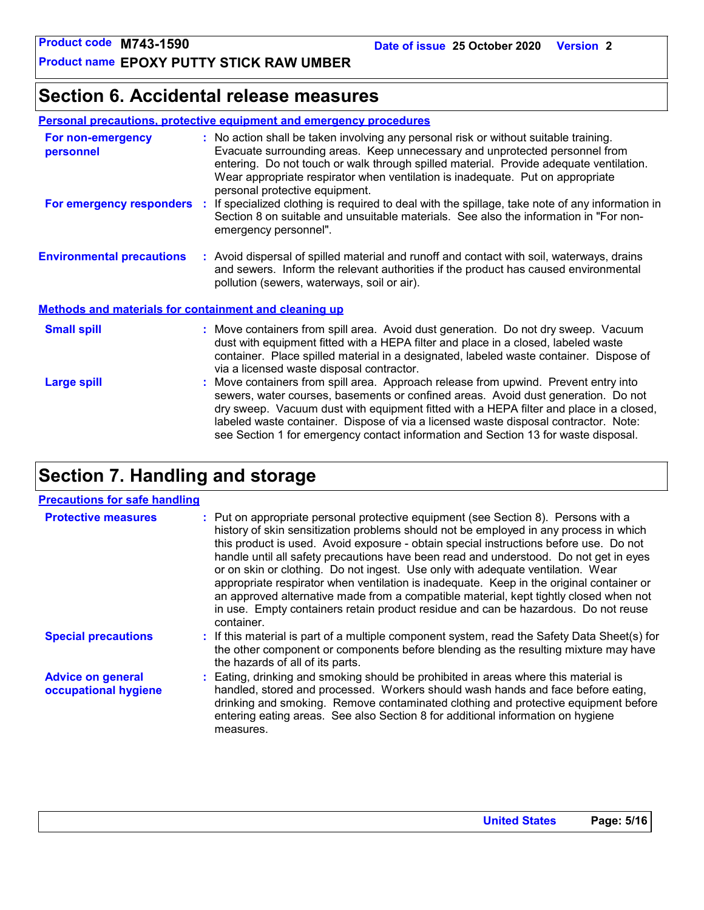### **Section 6. Accidental release measures**

| <b>Personal precautions, protective equipment and emergency procedures</b> |
|----------------------------------------------------------------------------|
|----------------------------------------------------------------------------|

| For non-emergency<br>personnel                               |    | : No action shall be taken involving any personal risk or without suitable training.<br>Evacuate surrounding areas. Keep unnecessary and unprotected personnel from<br>entering. Do not touch or walk through spilled material. Provide adequate ventilation.<br>Wear appropriate respirator when ventilation is inadequate. Put on appropriate<br>personal protective equipment.                                                               |
|--------------------------------------------------------------|----|-------------------------------------------------------------------------------------------------------------------------------------------------------------------------------------------------------------------------------------------------------------------------------------------------------------------------------------------------------------------------------------------------------------------------------------------------|
| For emergency responders                                     | ÷. | If specialized clothing is required to deal with the spillage, take note of any information in<br>Section 8 on suitable and unsuitable materials. See also the information in "For non-<br>emergency personnel".                                                                                                                                                                                                                                |
| <b>Environmental precautions</b>                             |    | : Avoid dispersal of spilled material and runoff and contact with soil, waterways, drains<br>and sewers. Inform the relevant authorities if the product has caused environmental<br>pollution (sewers, waterways, soil or air).                                                                                                                                                                                                                 |
| <b>Methods and materials for containment and cleaning up</b> |    |                                                                                                                                                                                                                                                                                                                                                                                                                                                 |
| <b>Small spill</b>                                           |    | : Move containers from spill area. Avoid dust generation. Do not dry sweep. Vacuum<br>dust with equipment fitted with a HEPA filter and place in a closed, labeled waste<br>container. Place spilled material in a designated, labeled waste container. Dispose of<br>via a licensed waste disposal contractor.                                                                                                                                 |
| <b>Large spill</b>                                           |    | : Move containers from spill area. Approach release from upwind. Prevent entry into<br>sewers, water courses, basements or confined areas. Avoid dust generation. Do not<br>dry sweep. Vacuum dust with equipment fitted with a HEPA filter and place in a closed,<br>labeled waste container. Dispose of via a licensed waste disposal contractor. Note:<br>see Section 1 for emergency contact information and Section 13 for waste disposal. |

### **Section 7. Handling and storage**

#### **Precautions for safe handling**

| <b>Protective measures</b>                       | : Put on appropriate personal protective equipment (see Section 8). Persons with a<br>history of skin sensitization problems should not be employed in any process in which<br>this product is used. Avoid exposure - obtain special instructions before use. Do not<br>handle until all safety precautions have been read and understood. Do not get in eyes<br>or on skin or clothing. Do not ingest. Use only with adequate ventilation. Wear<br>appropriate respirator when ventilation is inadequate. Keep in the original container or<br>an approved alternative made from a compatible material, kept tightly closed when not<br>in use. Empty containers retain product residue and can be hazardous. Do not reuse<br>container. |
|--------------------------------------------------|-------------------------------------------------------------------------------------------------------------------------------------------------------------------------------------------------------------------------------------------------------------------------------------------------------------------------------------------------------------------------------------------------------------------------------------------------------------------------------------------------------------------------------------------------------------------------------------------------------------------------------------------------------------------------------------------------------------------------------------------|
| <b>Special precautions</b>                       | : If this material is part of a multiple component system, read the Safety Data Sheet(s) for<br>the other component or components before blending as the resulting mixture may have<br>the hazards of all of its parts.                                                                                                                                                                                                                                                                                                                                                                                                                                                                                                                   |
| <b>Advice on general</b><br>occupational hygiene | : Eating, drinking and smoking should be prohibited in areas where this material is<br>handled, stored and processed. Workers should wash hands and face before eating,<br>drinking and smoking. Remove contaminated clothing and protective equipment before<br>entering eating areas. See also Section 8 for additional information on hygiene<br>measures.                                                                                                                                                                                                                                                                                                                                                                             |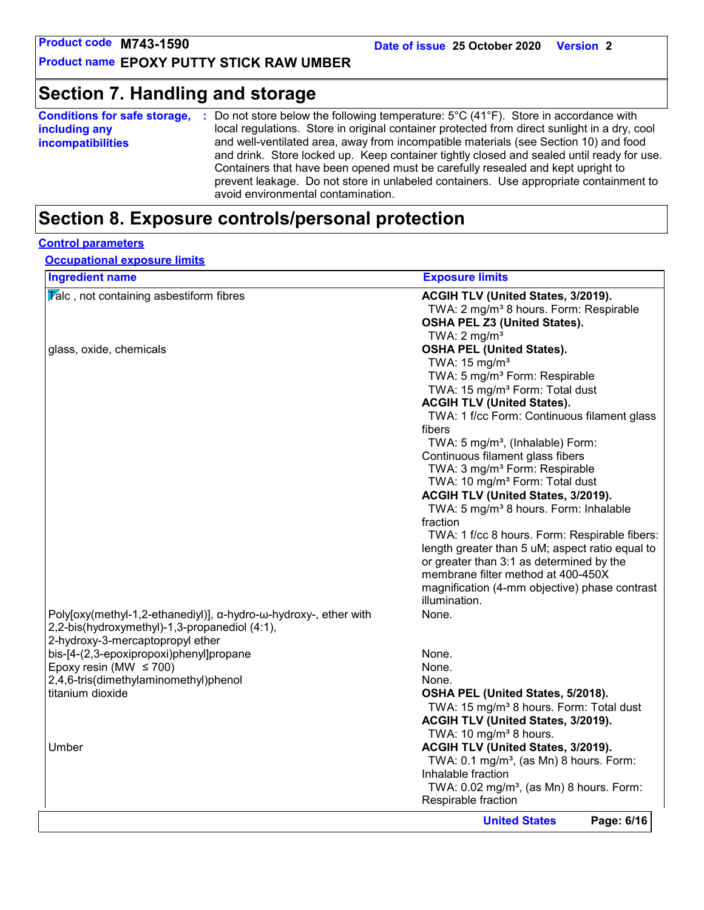### **Section 7. Handling and storage**

| <b>Conditions for safe storage,</b> | Do not store below the following temperature: $5^{\circ}$ C (41 $^{\circ}$ F). Store in accordance with                     |
|-------------------------------------|-----------------------------------------------------------------------------------------------------------------------------|
| including any                       | local regulations. Store in original container protected from direct sunlight in a dry, cool                                |
| <b>incompatibilities</b>            | and well-ventilated area, away from incompatible materials (see Section 10) and food                                        |
|                                     | and drink. Store locked up. Keep container tightly closed and sealed until ready for use.                                   |
|                                     | Containers that have been opened must be carefully resealed and kept upright to                                             |
|                                     | prevent leakage. Do not store in unlabeled containers. Use appropriate containment to<br>avoid environmental contamination. |

### **Section 8. Exposure controls/personal protection**

#### **Control parameters**

**Occupational exposure limits**

| <b>Ingredient name</b>                                           | <b>Exposure limits</b>                                 |
|------------------------------------------------------------------|--------------------------------------------------------|
| $\sqrt{\mathbf{r}}$ alc, not containing asbestiform fibres       | ACGIH TLV (United States, 3/2019).                     |
|                                                                  | TWA: 2 mg/m <sup>3</sup> 8 hours. Form: Respirable     |
|                                                                  | <b>OSHA PEL Z3 (United States).</b>                    |
|                                                                  | TWA: $2 \text{ mg/m}^3$                                |
| glass, oxide, chemicals                                          | <b>OSHA PEL (United States).</b>                       |
|                                                                  | TWA: 15 mg/m <sup>3</sup>                              |
|                                                                  | TWA: 5 mg/m <sup>3</sup> Form: Respirable              |
|                                                                  | TWA: 15 mg/m <sup>3</sup> Form: Total dust             |
|                                                                  | <b>ACGIH TLV (United States).</b>                      |
|                                                                  | TWA: 1 f/cc Form: Continuous filament glass            |
|                                                                  | fibers                                                 |
|                                                                  | TWA: 5 mg/m <sup>3</sup> , (Inhalable) Form:           |
|                                                                  | Continuous filament glass fibers                       |
|                                                                  | TWA: 3 mg/m <sup>3</sup> Form: Respirable              |
|                                                                  | TWA: 10 mg/m <sup>3</sup> Form: Total dust             |
|                                                                  | ACGIH TLV (United States, 3/2019).                     |
|                                                                  | TWA: 5 mg/m <sup>3</sup> 8 hours. Form: Inhalable      |
|                                                                  | fraction                                               |
|                                                                  | TWA: 1 f/cc 8 hours. Form: Respirable fibers:          |
|                                                                  | length greater than 5 uM; aspect ratio equal to        |
|                                                                  | or greater than 3:1 as determined by the               |
|                                                                  | membrane filter method at 400-450X                     |
|                                                                  | magnification (4-mm objective) phase contrast          |
|                                                                  | illumination.                                          |
| Poly[oxy(methyl-1,2-ethanediyl)], α-hydro-ω-hydroxy-, ether with | None.                                                  |
| 2,2-bis(hydroxymethyl)-1,3-propanediol (4:1),                    |                                                        |
| 2-hydroxy-3-mercaptopropyl ether                                 |                                                        |
| bis-[4-(2,3-epoxipropoxi)phenyl]propane                          | None.                                                  |
| Epoxy resin (MW $\leq$ 700)                                      | None.                                                  |
| 2,4,6-tris(dimethylaminomethyl)phenol                            | None.                                                  |
| titanium dioxide                                                 | OSHA PEL (United States, 5/2018).                      |
|                                                                  | TWA: 15 mg/m <sup>3</sup> 8 hours. Form: Total dust    |
|                                                                  | ACGIH TLV (United States, 3/2019).                     |
|                                                                  | TWA: 10 mg/m <sup>3</sup> 8 hours.                     |
| Umber                                                            | ACGIH TLV (United States, 3/2019).                     |
|                                                                  | TWA: 0.1 mg/m <sup>3</sup> , (as Mn) 8 hours. Form:    |
|                                                                  | Inhalable fraction                                     |
|                                                                  | TWA: $0.02$ mg/m <sup>3</sup> , (as Mn) 8 hours. Form: |
|                                                                  | Respirable fraction                                    |
|                                                                  |                                                        |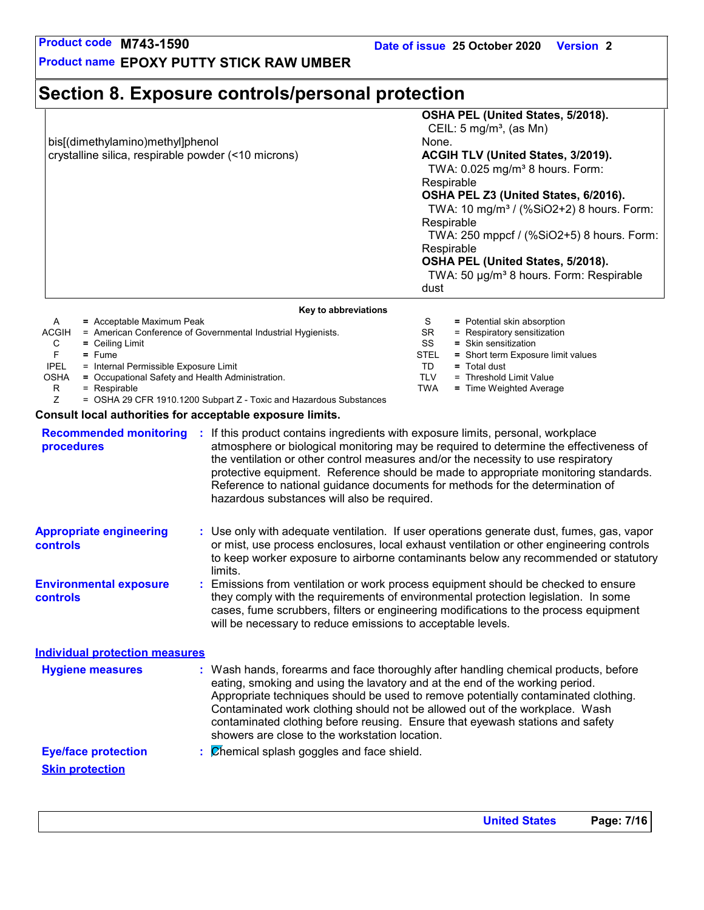**Product name EPOXY PUTTY STICK RAW UMBER**

### **Section 8. Exposure controls/personal protection**

bis[(dimethylamino)methyl]phenol None. crystalline silica, respirable powder (<10 microns) **ACGIH TLV (United States, 3/2019).**

### **OSHA PEL (United States, 5/2018).**

CEIL:  $5 \text{ mg/m}^3$ , (as Mn)

TWA:  $0.025$  mg/m<sup>3</sup> 8 hours. Form: Respirable

**OSHA PEL Z3 (United States, 6/2016).**

TWA: 10 mg/m<sup>3</sup> / (%SiO2+2) 8 hours. Form: Respirable

 TWA: 250 mppcf / (%SiO2+5) 8 hours. Form: **Respirable** 

#### **OSHA PEL (United States, 5/2018).**

TWA: 50 µg/m<sup>3</sup> 8 hours. Form: Respirable dust

|              | Key to abbreviations                                                                                                                                                                                                           |             |                                    |
|--------------|--------------------------------------------------------------------------------------------------------------------------------------------------------------------------------------------------------------------------------|-------------|------------------------------------|
| A            | = Acceptable Maximum Peak                                                                                                                                                                                                      | S           | = Potential skin absorption        |
| <b>ACGIH</b> | = American Conference of Governmental Industrial Hygienists.                                                                                                                                                                   | SR.         | $=$ Respiratory sensitization      |
| С            | $=$ Ceiling Limit                                                                                                                                                                                                              | SS          | $=$ Skin sensitization             |
| F            | $=$ Fume                                                                                                                                                                                                                       | <b>STEL</b> | = Short term Exposure limit values |
| <b>IPEL</b>  | = Internal Permissible Exposure Limit                                                                                                                                                                                          | TD          | $=$ Total dust                     |
| <b>OSHA</b>  | = Occupational Safety and Health Administration.                                                                                                                                                                               | TLV         | = Threshold Limit Value            |
| R            | $=$ Respirable                                                                                                                                                                                                                 | TWA         | = Time Weighted Average            |
|              | $0.0111.00.055.4040.4000.0111.77.71111.01111.01111.01111.01111.01111.01111.01111.01111.01111.01111.01111.01111.01111.01111.01111.01111.01111.01111.01111.01111.01111.01111.01111.01111.01111.01111.01111.01111.01111.01111.01$ |             |                                    |

Z = OSHA 29 CFR 1910.1200 Subpart Z - Toxic and Hazardous Substances

#### **Consult local authorities for acceptable exposure limits.**

| <b>Recommended monitoring</b><br>procedures       | If this product contains ingredients with exposure limits, personal, workplace<br>atmosphere or biological monitoring may be required to determine the effectiveness of<br>the ventilation or other control measures and/or the necessity to use respiratory<br>protective equipment. Reference should be made to appropriate monitoring standards.<br>Reference to national guidance documents for methods for the determination of<br>hazardous substances will also be required. |
|---------------------------------------------------|-------------------------------------------------------------------------------------------------------------------------------------------------------------------------------------------------------------------------------------------------------------------------------------------------------------------------------------------------------------------------------------------------------------------------------------------------------------------------------------|
| <b>Appropriate engineering</b><br><b>controls</b> | : Use only with adequate ventilation. If user operations generate dust, fumes, gas, vapor<br>or mist, use process enclosures, local exhaust ventilation or other engineering controls<br>to keep worker exposure to airborne contaminants below any recommended or statutory<br>limits.                                                                                                                                                                                             |
| <b>Environmental exposure</b><br><b>controls</b>  | Emissions from ventilation or work process equipment should be checked to ensure<br>they comply with the requirements of environmental protection legislation. In some<br>cases, fume scrubbers, filters or engineering modifications to the process equipment<br>will be necessary to reduce emissions to acceptable levels.                                                                                                                                                       |
| <b>Individual protection measures</b>             |                                                                                                                                                                                                                                                                                                                                                                                                                                                                                     |
| <b>Hygiene measures</b>                           | Wash hands, forearms and face thoroughly after handling chemical products, before<br>eating, smoking and using the lavatory and at the end of the working period.<br>Appropriate techniques should be used to remove potentially contaminated clothing.<br>Contaminated work clothing should not be allowed out of the workplace. Wash<br>contaminated clothing before reusing. Ensure that eyewash stations and safety<br>showers are close to the workstation location.           |
| <b>Eye/face protection</b>                        | Chemical splash goggles and face shield.                                                                                                                                                                                                                                                                                                                                                                                                                                            |
| <b>Skin protection</b>                            |                                                                                                                                                                                                                                                                                                                                                                                                                                                                                     |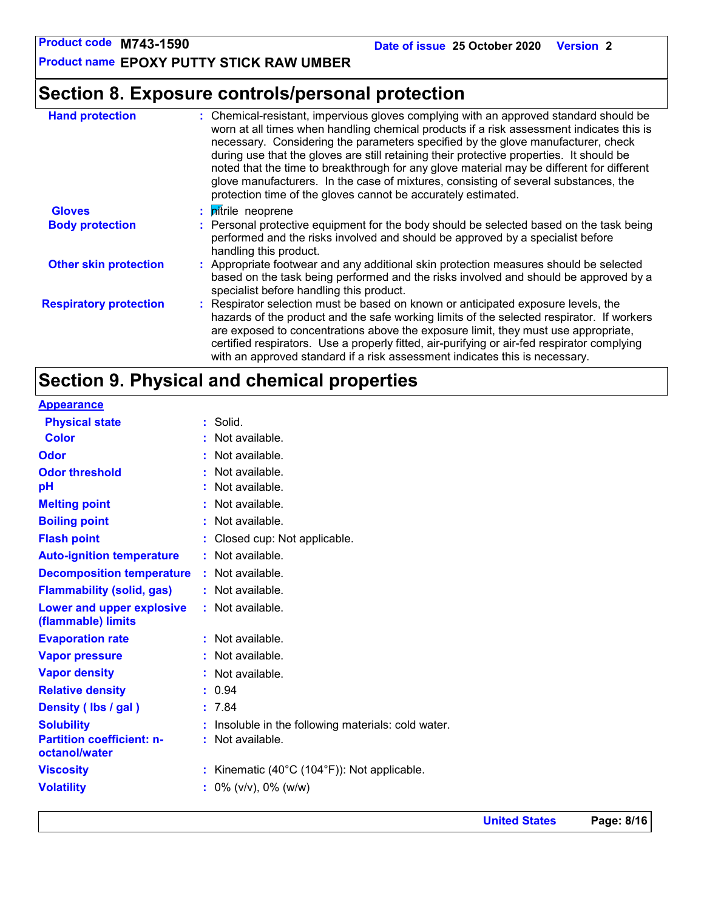**Product name EPOXY PUTTY STICK RAW UMBER**

### **Section 8. Exposure controls/personal protection**

| <b>Hand protection</b>        | : Chemical-resistant, impervious gloves complying with an approved standard should be<br>worn at all times when handling chemical products if a risk assessment indicates this is<br>necessary. Considering the parameters specified by the glove manufacturer, check<br>during use that the gloves are still retaining their protective properties. It should be<br>noted that the time to breakthrough for any glove material may be different for different<br>glove manufacturers. In the case of mixtures, consisting of several substances, the<br>protection time of the gloves cannot be accurately estimated. |
|-------------------------------|------------------------------------------------------------------------------------------------------------------------------------------------------------------------------------------------------------------------------------------------------------------------------------------------------------------------------------------------------------------------------------------------------------------------------------------------------------------------------------------------------------------------------------------------------------------------------------------------------------------------|
| <b>Gloves</b>                 | : <i>pitrile</i> neoprene                                                                                                                                                                                                                                                                                                                                                                                                                                                                                                                                                                                              |
| <b>Body protection</b>        | : Personal protective equipment for the body should be selected based on the task being<br>performed and the risks involved and should be approved by a specialist before<br>handling this product.                                                                                                                                                                                                                                                                                                                                                                                                                    |
| <b>Other skin protection</b>  | : Appropriate footwear and any additional skin protection measures should be selected<br>based on the task being performed and the risks involved and should be approved by a<br>specialist before handling this product.                                                                                                                                                                                                                                                                                                                                                                                              |
| <b>Respiratory protection</b> | : Respirator selection must be based on known or anticipated exposure levels, the<br>hazards of the product and the safe working limits of the selected respirator. If workers<br>are exposed to concentrations above the exposure limit, they must use appropriate,<br>certified respirators. Use a properly fitted, air-purifying or air-fed respirator complying<br>with an approved standard if a risk assessment indicates this is necessary.                                                                                                                                                                     |

## **Section 9. Physical and chemical properties**

| <b>Appearance</b>                                 |                                                              |
|---------------------------------------------------|--------------------------------------------------------------|
| <b>Physical state</b>                             | : Solid.                                                     |
| <b>Color</b>                                      | : Not available.                                             |
| <b>Odor</b>                                       | : Not available.                                             |
| <b>Odor threshold</b>                             | : Not available.                                             |
| pH                                                | : Not available.                                             |
| <b>Melting point</b>                              | : Not available.                                             |
| <b>Boiling point</b>                              | : Not available.                                             |
| <b>Flash point</b>                                | : Closed cup: Not applicable.                                |
| <b>Auto-ignition temperature</b>                  | : Not available.                                             |
| <b>Decomposition temperature</b>                  | : Not available.                                             |
| <b>Flammability (solid, gas)</b>                  | : Not available.                                             |
| Lower and upper explosive<br>(flammable) limits   | : Not available.                                             |
| <b>Evaporation rate</b>                           | : Not available.                                             |
| <b>Vapor pressure</b>                             | : Not available.                                             |
| <b>Vapor density</b>                              | : Not available.                                             |
| <b>Relative density</b>                           | : 0.94                                                       |
| Density (Ibs / gal)                               | : 7.84                                                       |
| <b>Solubility</b>                                 | : Insoluble in the following materials: cold water.          |
| <b>Partition coefficient: n-</b><br>octanol/water | : Not available.                                             |
| <b>Viscosity</b>                                  | : Kinematic $(40^{\circ}C (104^{\circ}F))$ : Not applicable. |
| <b>Volatility</b>                                 | $\frac{1}{2}$ 0% (v/v), 0% (w/w)                             |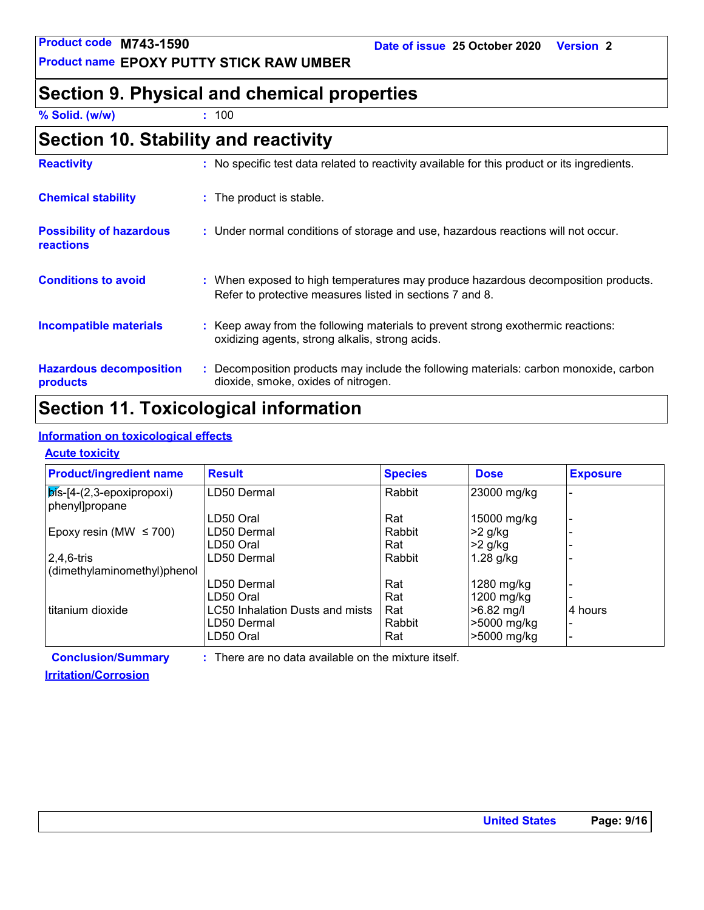**Product name EPOXY PUTTY STICK RAW UMBER**

#### **Date of issue 25 October 2020 Version 2**

### **Section 9. Physical and chemical properties**

**% Solid. (w/w) :** 100

| Section 10. Stability and reactivity |  |
|--------------------------------------|--|
|--------------------------------------|--|

| <b>Reactivity</b>                                   | : No specific test data related to reactivity available for this product or its ingredients.                                                  |
|-----------------------------------------------------|-----------------------------------------------------------------------------------------------------------------------------------------------|
| <b>Chemical stability</b>                           | : The product is stable.                                                                                                                      |
| <b>Possibility of hazardous</b><br><b>reactions</b> | : Under normal conditions of storage and use, hazardous reactions will not occur.                                                             |
| <b>Conditions to avoid</b>                          | : When exposed to high temperatures may produce hazardous decomposition products.<br>Refer to protective measures listed in sections 7 and 8. |
| <b>Incompatible materials</b>                       | : Keep away from the following materials to prevent strong exothermic reactions:<br>oxidizing agents, strong alkalis, strong acids.           |
| <b>Hazardous decomposition</b><br>products          | : Decomposition products may include the following materials: carbon monoxide, carbon<br>dioxide, smoke, oxides of nitrogen.                  |

### **Section 11. Toxicological information**

#### **Information on toxicological effects**

#### **Acute toxicity**

| <b>Product/ingredient name</b>                        | <b>Result</b>                   | <b>Species</b> | <b>Dose</b>  | <b>Exposure</b> |
|-------------------------------------------------------|---------------------------------|----------------|--------------|-----------------|
| $ \vec{p}$ is-[4-(2,3-epoxipropoxi)<br>phenyl]propane | LD50 Dermal                     | Rabbit         | 23000 mg/kg  |                 |
|                                                       | LD50 Oral                       | Rat            | 15000 mg/kg  |                 |
| Epoxy resin (MW $\leq$ 700)                           | LD50 Dermal                     | Rabbit         | $>2$ g/kg    |                 |
|                                                       | LD50 Oral                       | Rat            | $>2$ g/kg    |                 |
| $2,4,6$ -tris                                         | LD50 Dermal                     | Rabbit         | $1.28$ g/kg  |                 |
| (dimethylaminomethyl)phenol                           |                                 |                |              |                 |
|                                                       | LD50 Dermal                     | Rat            | 1280 mg/kg   |                 |
|                                                       | LD50 Oral                       | Rat            | 1200 mg/kg   |                 |
| l titanium dioxide                                    | LC50 Inhalation Dusts and mists | Rat            | $>6.82$ mg/l | 4 hours         |
|                                                       | LD50 Dermal                     | Rabbit         | >5000 mg/kg  |                 |
|                                                       | LD50 Oral                       | Rat            | >5000 mg/kg  |                 |

**Conclusion/Summary : Irritation/Corrosion**

: There are no data available on the mixture itself.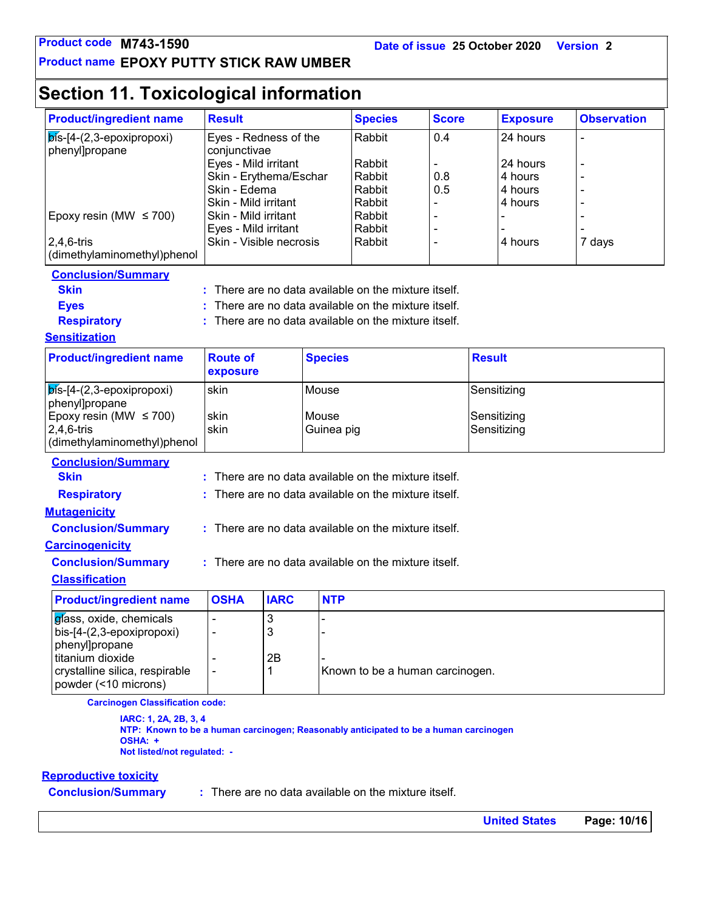#### **Product name EPOXY PUTTY STICK RAW UMBER**

### **Section 11. Toxicological information**

| <b>Product/ingredient name</b>                         | <b>Result</b>                        |             |                | <b>Species</b>                                       | <b>Score</b> | <b>Exposure</b>    | <b>Observation</b> |  |
|--------------------------------------------------------|--------------------------------------|-------------|----------------|------------------------------------------------------|--------------|--------------------|--------------------|--|
| $\overline{\mathsf{p}}$ ís-[4-(2,3-epoxipropoxi)       | Eyes - Redness of the                |             |                | Rabbit                                               | 0.4          | 24 hours           |                    |  |
| phenyl]propane                                         | conjunctivae                         |             |                |                                                      |              |                    |                    |  |
|                                                        | Eyes - Mild irritant                 |             |                | Rabbit                                               |              | 24 hours           |                    |  |
|                                                        | Skin - Erythema/Eschar               |             |                | Rabbit                                               | 0.8          | 4 hours            |                    |  |
|                                                        | Skin - Edema<br>Skin - Mild irritant |             |                | Rabbit<br>Rabbit                                     | 0.5          | 4 hours<br>4 hours |                    |  |
| Epoxy resin (MW $\leq$ 700)                            | Skin - Mild irritant                 |             |                | Rabbit                                               |              |                    |                    |  |
|                                                        | Eyes - Mild irritant                 |             |                | Rabbit                                               |              |                    |                    |  |
| $2,4,6$ -tris                                          | Skin - Visible necrosis              |             |                | Rabbit                                               |              | 4 hours            | 7 days             |  |
| (dimethylaminomethyl)phenol                            |                                      |             |                |                                                      |              |                    |                    |  |
| <b>Conclusion/Summary</b>                              |                                      |             |                |                                                      |              |                    |                    |  |
| <b>Skin</b>                                            |                                      |             |                | There are no data available on the mixture itself.   |              |                    |                    |  |
| <b>Eyes</b>                                            |                                      |             |                | There are no data available on the mixture itself.   |              |                    |                    |  |
| <b>Respiratory</b>                                     |                                      |             |                | There are no data available on the mixture itself.   |              |                    |                    |  |
| <b>Sensitization</b>                                   |                                      |             |                |                                                      |              |                    |                    |  |
| <b>Product/ingredient name</b>                         | <b>Route of</b>                      |             | <b>Species</b> |                                                      |              | <b>Result</b>      |                    |  |
|                                                        | exposure                             |             |                |                                                      |              |                    |                    |  |
| $\mathbf{b}$ ís-[4-(2,3-epoxipropoxi)                  | skin                                 |             | Mouse          |                                                      |              | Sensitizing        |                    |  |
| phenyl]propane                                         |                                      |             |                |                                                      |              |                    |                    |  |
| Epoxy resin (MW $\leq$ 700)                            | skin                                 |             | Mouse          |                                                      |              | Sensitizing        |                    |  |
| $2,4,6$ -tris                                          | skin                                 |             |                | Guinea pig                                           |              | Sensitizing        |                    |  |
| (dimethylaminomethyl)phenol                            |                                      |             |                |                                                      |              |                    |                    |  |
| <b>Conclusion/Summary</b>                              |                                      |             |                |                                                      |              |                    |                    |  |
| <b>Skin</b>                                            |                                      |             |                | There are no data available on the mixture itself.   |              |                    |                    |  |
| <b>Respiratory</b>                                     |                                      |             |                | : There are no data available on the mixture itself. |              |                    |                    |  |
| <b>Mutagenicity</b>                                    |                                      |             |                |                                                      |              |                    |                    |  |
| <b>Conclusion/Summary</b>                              |                                      |             |                | : There are no data available on the mixture itself. |              |                    |                    |  |
| <b>Carcinogenicity</b>                                 |                                      |             |                |                                                      |              |                    |                    |  |
| <b>Conclusion/Summary</b>                              |                                      |             |                | : There are no data available on the mixture itself. |              |                    |                    |  |
| <b>Classification</b>                                  |                                      |             |                |                                                      |              |                    |                    |  |
| <b>Product/ingredient name</b>                         | <b>OSHA</b>                          | <b>IARC</b> | <b>NTP</b>     |                                                      |              |                    |                    |  |
| glass, oxide, chemicals                                |                                      | 3           |                |                                                      |              |                    |                    |  |
| bis-[4-(2,3-epoxipropoxi)                              | $\overline{a}$                       | 3           |                |                                                      |              |                    |                    |  |
| phenyl]propane                                         |                                      |             |                |                                                      |              |                    |                    |  |
|                                                        |                                      | 2B          |                |                                                      |              |                    |                    |  |
| titanium dioxide                                       | $\overline{a}$                       |             |                |                                                      |              |                    |                    |  |
| crystalline silica, respirable<br>powder (<10 microns) |                                      | 1           |                | Known to be a human carcinogen.                      |              |                    |                    |  |

**IARC: 1, 2A, 2B, 3, 4 NTP: Known to be a human carcinogen; Reasonably anticipated to be a human carcinogen OSHA: + Not listed/not regulated: -**

#### **Reproductive toxicity**

**Conclusion/Summary :**

There are no data available on the mixture itself.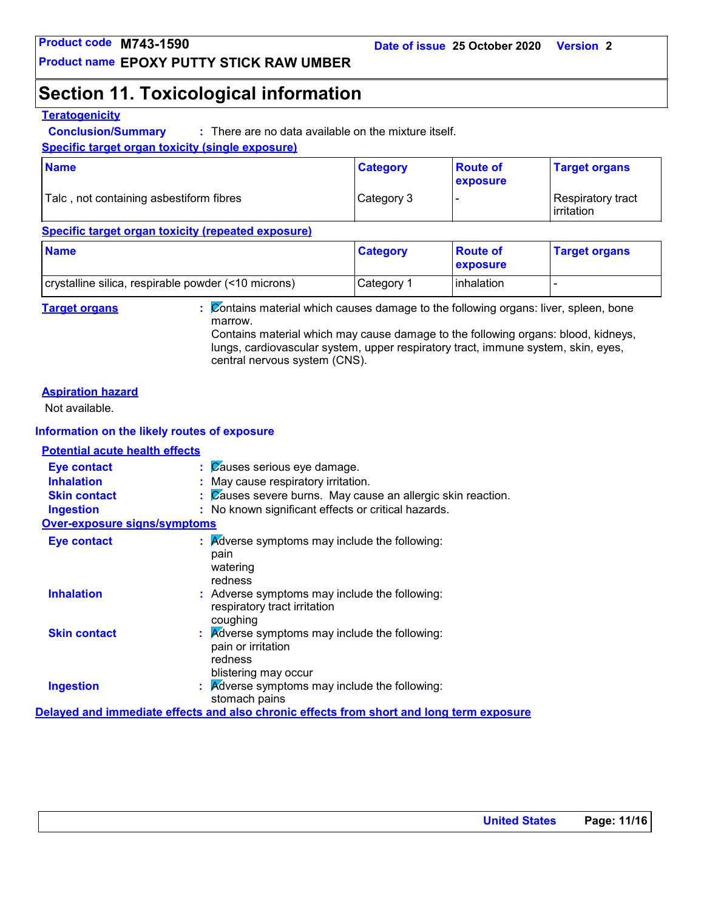### **Section 11. Toxicological information**

#### **Teratogenicity**

**Conclusion/Summary :** : There are no data available on the mixture itself.

#### **Specific target organ toxicity (single exposure)**

| <b>Name</b>                             | <b>Category</b> | <b>Route of</b><br>exposure | <b>Target organs</b>                      |
|-----------------------------------------|-----------------|-----------------------------|-------------------------------------------|
| Talc, not containing asbestiform fibres | Category 3      |                             | Respiratory tract_<br><b>l</b> irritation |

#### **Specific target organ toxicity (repeated exposure)**

| <b>Name</b>                                         | <b>Category</b> | <b>Route of</b><br><b>Exposure</b> | <b>Target organs</b> |
|-----------------------------------------------------|-----------------|------------------------------------|----------------------|
| crystalline silica, respirable powder (<10 microns) | lCategory 1     | Inhalation                         |                      |

**Target organs :** Contains material which causes damage to the following organs: liver, spleen, bone marrow.

Contains material which may cause damage to the following organs: blood, kidneys, lungs, cardiovascular system, upper respiratory tract, immune system, skin, eyes, central nervous system (CNS).

#### **Aspiration hazard**

Not available.

#### **Information on the likely routes of exposure**

#### **Potential acute health effects**

| <b>Eye contact</b><br><b>Inhalation</b> | $\mathcal{C}$ auses serious eye damage.<br>: May cause respiratory irritation.                                                |
|-----------------------------------------|-------------------------------------------------------------------------------------------------------------------------------|
| <b>Skin contact</b><br><b>Ingestion</b> | $\therefore$ Zauses severe burns. May cause an allergic skin reaction.<br>: No known significant effects or critical hazards. |
| <b>Over-exposure signs/symptoms</b>     |                                                                                                                               |
| <b>Eye contact</b>                      | $\therefore$ Adverse symptoms may include the following:<br>pain<br>watering<br>redness                                       |
| <b>Inhalation</b>                       | : Adverse symptoms may include the following:<br>respiratory tract irritation<br>coughing                                     |
| <b>Skin contact</b>                     | : Adverse symptoms may include the following:<br>pain or irritation<br>redness<br>blistering may occur                        |
| <b>Ingestion</b>                        | : Adverse symptoms may include the following:<br>stomach pains                                                                |
|                                         | Delayed and immediate effects and also chronic effects from short and long term exposure                                      |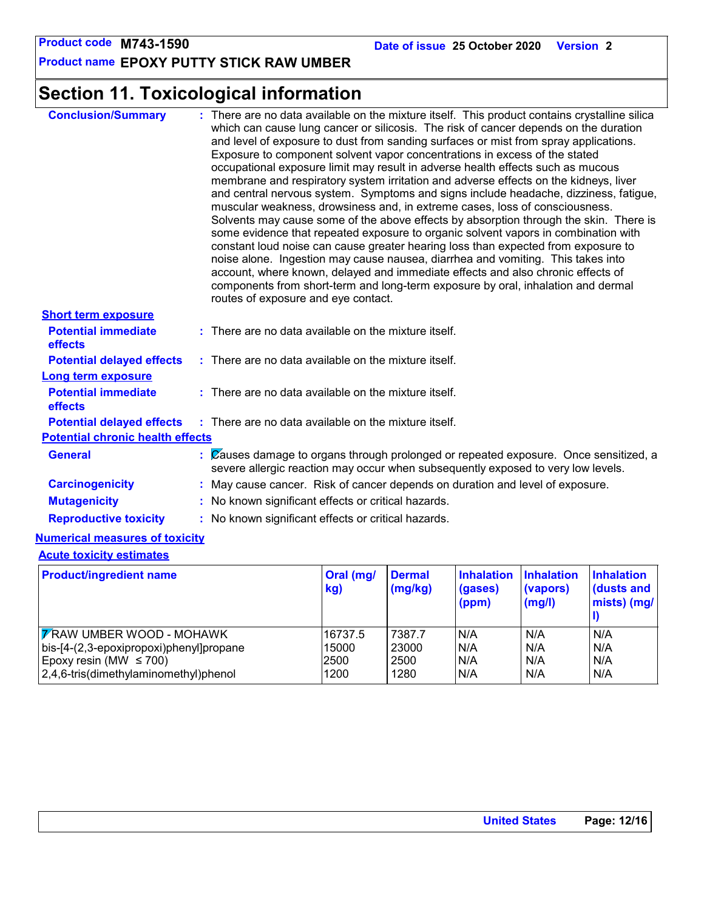**Product name EPOXY PUTTY STICK RAW UMBER**

## **Section 11. Toxicological information**

| <b>Conclusion/Summary</b>                    | : There are no data available on the mixture itself. This product contains crystalline silica<br>which can cause lung cancer or silicosis. The risk of cancer depends on the duration<br>and level of exposure to dust from sanding surfaces or mist from spray applications.<br>Exposure to component solvent vapor concentrations in excess of the stated<br>occupational exposure limit may result in adverse health effects such as mucous<br>membrane and respiratory system irritation and adverse effects on the kidneys, liver<br>and central nervous system. Symptoms and signs include headache, dizziness, fatigue,<br>muscular weakness, drowsiness and, in extreme cases, loss of consciousness.<br>Solvents may cause some of the above effects by absorption through the skin. There is<br>some evidence that repeated exposure to organic solvent vapors in combination with<br>constant loud noise can cause greater hearing loss than expected from exposure to<br>noise alone. Ingestion may cause nausea, diarrhea and vomiting. This takes into<br>account, where known, delayed and immediate effects and also chronic effects of<br>components from short-term and long-term exposure by oral, inhalation and dermal<br>routes of exposure and eye contact. |
|----------------------------------------------|------------------------------------------------------------------------------------------------------------------------------------------------------------------------------------------------------------------------------------------------------------------------------------------------------------------------------------------------------------------------------------------------------------------------------------------------------------------------------------------------------------------------------------------------------------------------------------------------------------------------------------------------------------------------------------------------------------------------------------------------------------------------------------------------------------------------------------------------------------------------------------------------------------------------------------------------------------------------------------------------------------------------------------------------------------------------------------------------------------------------------------------------------------------------------------------------------------------------------------------------------------------------------------|
| <b>Short term exposure</b>                   |                                                                                                                                                                                                                                                                                                                                                                                                                                                                                                                                                                                                                                                                                                                                                                                                                                                                                                                                                                                                                                                                                                                                                                                                                                                                                    |
| <b>Potential immediate</b><br><b>effects</b> | : There are no data available on the mixture itself.                                                                                                                                                                                                                                                                                                                                                                                                                                                                                                                                                                                                                                                                                                                                                                                                                                                                                                                                                                                                                                                                                                                                                                                                                               |
| <b>Potential delayed effects</b>             | $:$ There are no data available on the mixture itself.                                                                                                                                                                                                                                                                                                                                                                                                                                                                                                                                                                                                                                                                                                                                                                                                                                                                                                                                                                                                                                                                                                                                                                                                                             |
| <b>Long term exposure</b>                    |                                                                                                                                                                                                                                                                                                                                                                                                                                                                                                                                                                                                                                                                                                                                                                                                                                                                                                                                                                                                                                                                                                                                                                                                                                                                                    |
| <b>Potential immediate</b><br>effects        | $:$ There are no data available on the mixture itself.                                                                                                                                                                                                                                                                                                                                                                                                                                                                                                                                                                                                                                                                                                                                                                                                                                                                                                                                                                                                                                                                                                                                                                                                                             |
| <b>Potential delayed effects</b>             | : There are no data available on the mixture itself.                                                                                                                                                                                                                                                                                                                                                                                                                                                                                                                                                                                                                                                                                                                                                                                                                                                                                                                                                                                                                                                                                                                                                                                                                               |
| <b>Potential chronic health effects</b>      |                                                                                                                                                                                                                                                                                                                                                                                                                                                                                                                                                                                                                                                                                                                                                                                                                                                                                                                                                                                                                                                                                                                                                                                                                                                                                    |
| <b>General</b>                               | $\mathcal{C}$ (Zauses damage to organs through prolonged or repeated exposure. Once sensitized, a<br>severe allergic reaction may occur when subsequently exposed to very low levels.                                                                                                                                                                                                                                                                                                                                                                                                                                                                                                                                                                                                                                                                                                                                                                                                                                                                                                                                                                                                                                                                                              |
| <b>Carcinogenicity</b>                       | : May cause cancer. Risk of cancer depends on duration and level of exposure.                                                                                                                                                                                                                                                                                                                                                                                                                                                                                                                                                                                                                                                                                                                                                                                                                                                                                                                                                                                                                                                                                                                                                                                                      |
| <b>Mutagenicity</b>                          | : No known significant effects or critical hazards.                                                                                                                                                                                                                                                                                                                                                                                                                                                                                                                                                                                                                                                                                                                                                                                                                                                                                                                                                                                                                                                                                                                                                                                                                                |
| <b>Reproductive toxicity</b>                 | : No known significant effects or critical hazards.                                                                                                                                                                                                                                                                                                                                                                                                                                                                                                                                                                                                                                                                                                                                                                                                                                                                                                                                                                                                                                                                                                                                                                                                                                |

#### **Numerical measures of toxicity**

#### **Acute toxicity estimates**

| <b>Product/ingredient name</b>                  | Oral (mg/<br>kg) | <b>Dermal</b><br>(mg/kg) | <b>Inhalation</b><br>(gases)<br>(ppm) | <b>Inhalation</b><br>(vapors)<br>(mg/l) | <b>Inhalation</b><br>(dusts and<br>mists) (mg/ |
|-------------------------------------------------|------------------|--------------------------|---------------------------------------|-----------------------------------------|------------------------------------------------|
| <b>FRAW UMBER WOOD - MOHAWK</b>                 | 16737.5          | 7387.7                   | N/A                                   | N/A                                     | N/A                                            |
| $\vert$ bis-[4-(2,3-epoxipropoxi)phenyl]propane | 15000            | 23000                    | N/A                                   | N/A                                     | N/A                                            |
| Epoxy resin (MW $\leq$ 700)                     | 2500             | 2500                     | N/A                                   | N/A                                     | N/A                                            |
| 2,4,6-tris(dimethylaminomethyl)phenol           | 1200             | 1280                     | N/A                                   | N/A                                     | N/A                                            |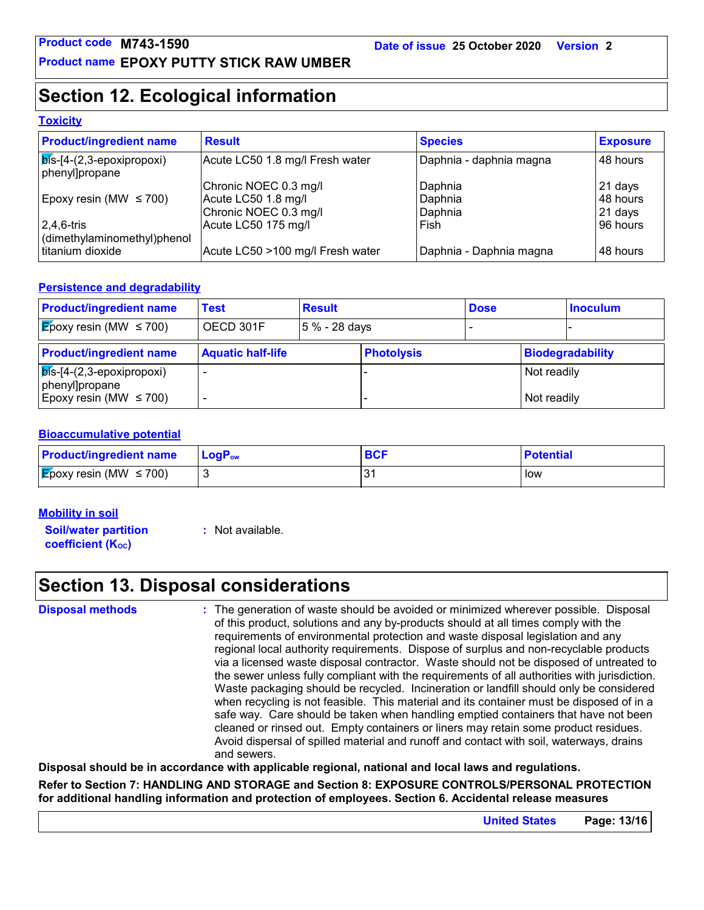### **Section 12. Ecological information**

#### **Toxicity**

| <b>Product/ingredient name</b>                       | <b>Result</b>                    | <b>Species</b>          | <b>Exposure</b> |
|------------------------------------------------------|----------------------------------|-------------------------|-----------------|
| $ \vec{b}$ s-[4-(2,3-epoxipropoxi)<br>phenyl]propane | Acute LC50 1.8 mg/l Fresh water  | Daphnia - daphnia magna | 48 hours        |
|                                                      | Chronic NOEC 0.3 mg/l            | Daphnia                 | 21 days         |
| Epoxy resin (MW $\leq$ 700)                          | Acute LC50 1.8 mg/l              | Daphnia                 | 48 hours        |
|                                                      | Chronic NOEC 0.3 mg/l            | Daphnia                 | $21$ days       |
| $2,4,6$ -tris                                        | Acute LC50 175 mg/l              | Fish                    | 96 hours        |
| dimethylaminomethyl)phenol                           |                                  |                         |                 |
| titanium dioxide                                     | Acute LC50 >100 mg/l Fresh water | Daphnia - Daphnia magna | 148 hours       |

#### **Persistence and degradability**

| <b>Product/ingredient name</b>                        | Test                     | <b>Result</b> |                   | <b>Dose</b> |             | <b>Inoculum</b>  |
|-------------------------------------------------------|--------------------------|---------------|-------------------|-------------|-------------|------------------|
| <b>E</b> poxy resin (MW $\leq$ 700)                   | OECD 301F                | 5 % - 28 days |                   |             |             |                  |
| <b>Product/ingredient name</b>                        | <b>Aquatic half-life</b> |               | <b>Photolysis</b> |             |             | Biodegradability |
| $ \vec{b}$ is-[4-(2,3-epoxipropoxi)<br>phenyl]propane |                          |               |                   |             | Not readily |                  |
| Epoxy resin (MW $\leq$ 700)                           |                          |               |                   |             | Not readily |                  |

#### **Bioaccumulative potential**

| <b>Product/ingredient name</b>      | $LoaPow$ | BCI | <b>Potential</b> |
|-------------------------------------|----------|-----|------------------|
| <b>E</b> poxy resin (MW $\leq$ 700) |          | ۰ - | low              |

#### **Mobility in soil**

**Soil/water partition coefficient (KOC)**

**:** Not available.

### **Section 13. Disposal considerations**

**Disposal methods :**

The generation of waste should be avoided or minimized wherever possible. Disposal of this product, solutions and any by-products should at all times comply with the requirements of environmental protection and waste disposal legislation and any regional local authority requirements. Dispose of surplus and non-recyclable products via a licensed waste disposal contractor. Waste should not be disposed of untreated to the sewer unless fully compliant with the requirements of all authorities with jurisdiction. Waste packaging should be recycled. Incineration or landfill should only be considered when recycling is not feasible. This material and its container must be disposed of in a safe way. Care should be taken when handling emptied containers that have not been cleaned or rinsed out. Empty containers or liners may retain some product residues. Avoid dispersal of spilled material and runoff and contact with soil, waterways, drains and sewers.

**Disposal should be in accordance with applicable regional, national and local laws and regulations.**

**Refer to Section 7: HANDLING AND STORAGE and Section 8: EXPOSURE CONTROLS/PERSONAL PROTECTION for additional handling information and protection of employees. Section 6. Accidental release measures**

**United States Page: 13/16**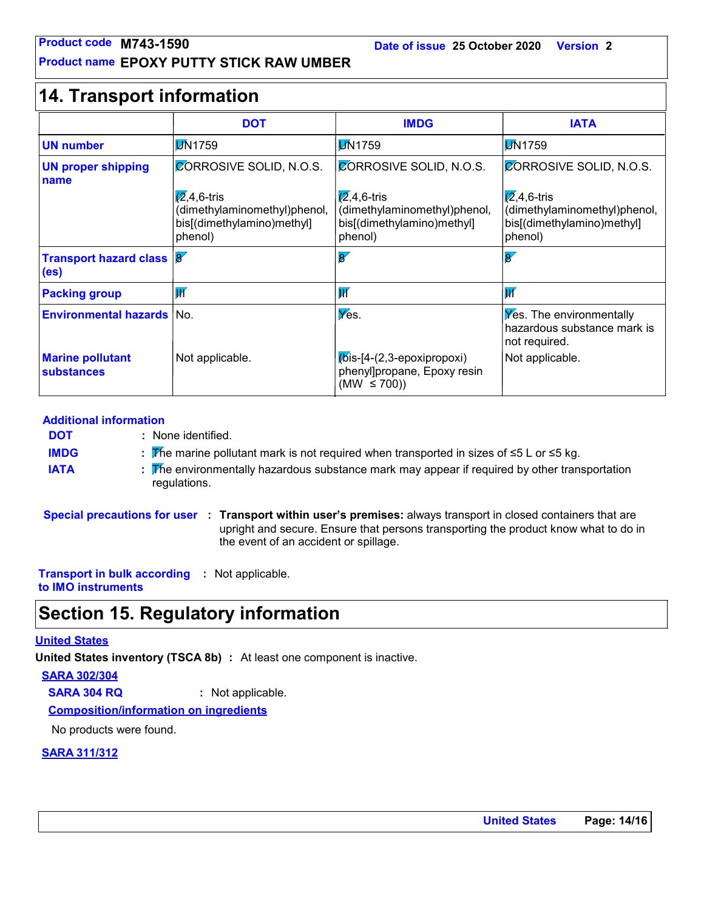#### **Product name EPOXY PUTTY STICK RAW UMBER**

| Product code M743-1590                               | <b>Product name EPOXY PUTTY STICK RAW UMBER</b>                                               | Date of issue 25 October 2020                                                             | <b>Version 2</b>                                                                              |
|------------------------------------------------------|-----------------------------------------------------------------------------------------------|-------------------------------------------------------------------------------------------|-----------------------------------------------------------------------------------------------|
| <b>14. Transport information</b>                     |                                                                                               |                                                                                           |                                                                                               |
|                                                      | <b>DOT</b>                                                                                    | <b>IMDG</b>                                                                               | <b>IATA</b>                                                                                   |
| <b>UN number</b>                                     | <b>DN1759</b>                                                                                 | <b>DN1759</b>                                                                             | <b>DN1759</b>                                                                                 |
| <b>UN proper shipping</b><br>name                    | CORROSIVE SOLID, N.O.S.                                                                       | CORROSIVE SOLID, N.O.S.                                                                   | <b>CORROSIVE SOLID, N.O.S.</b>                                                                |
|                                                      | $\sqrt{2}$ ,4,6-tris<br>(dimethylaminomethyl)phenol,<br>bis[(dimethylamino)methyl]<br>phenol) | $(2, 4, 6$ -tris<br>(dimethylaminomethyl)phenol,<br>bis[(dimethylamino)methyl]<br>phenol) | $\sqrt{2}$ ,4,6-tris<br>(dimethylaminomethyl)phenol,<br>bis[(dimethylamino)methyl]<br>phenol) |
| <b>Transport hazard class 8</b><br>(e <sub>s</sub> ) |                                                                                               | $\overline{8'}$                                                                           | $\overline{\mathbf{g}}$                                                                       |
| <b>Packing group</b>                                 | $\overline{\mathsf{W}}$                                                                       | $\overline{\mathsf{W}}$                                                                   | $\overline{\mathbf{W}}$                                                                       |
| <b>Environmental hazards</b>                         | l No.                                                                                         | Yes.                                                                                      | <b>Yes.</b> The environmentally<br>hazardous substance mark is<br>not required.               |
| <b>Marine pollutant</b><br>substances                | Not applicable.                                                                               | $K$ bis-[4-(2,3-epoxipropoxi)<br>phenyl]propane, Epoxy resin<br>(MW $\leq$ 700))          | Not applicable.                                                                               |

#### **Additional information**

- None identified. **: DOT**
	- The marine pollutant mark is not required when transported in sizes of ≤5 L or ≤5 kg. **:**
- **IATA :** The environmentally hazardous substance mark may appear if required by other transportation regulations.

**Special precautions for user Transport within user's premises:** always transport in closed containers that are **:** upright and secure. Ensure that persons transporting the product know what to do in the event of an accident or spillage.

**Transport in bulk according :** Not applicable. **to IMO instruments**

### **Section 15. Regulatory information**

#### **United States**

**IMDG**

**United States inventory (TSCA 8b) :** At least one component is inactive.

**SARA 302/304**

**SARA 304 RQ :** Not applicable.

**Composition/information on ingredients**

No products were found.

#### **SARA 311/312**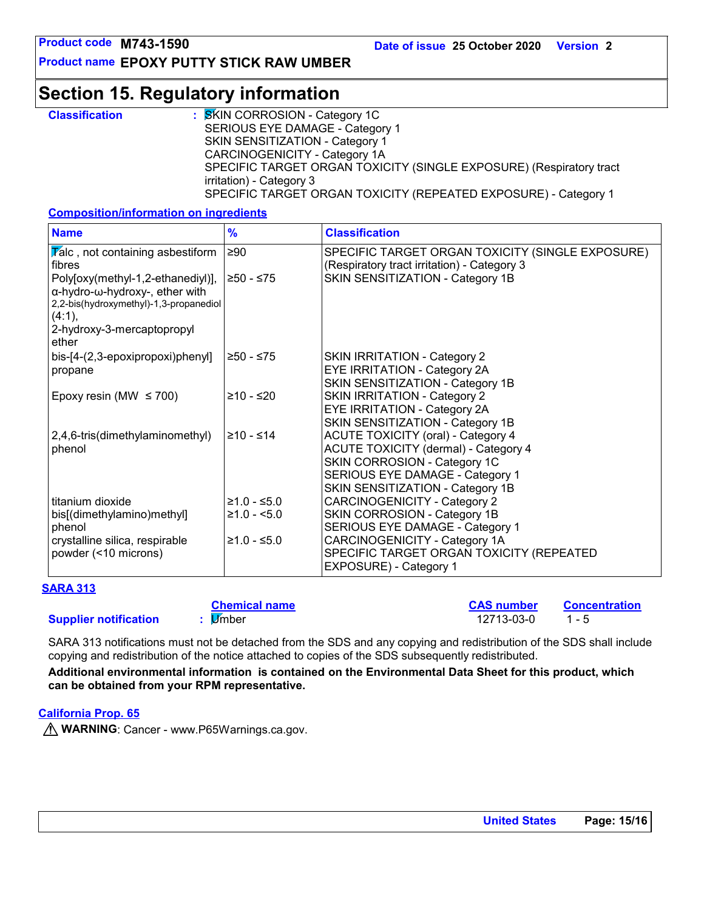**Product name EPOXY PUTTY STICK RAW UMBER**

### **Section 15. Regulatory information**

| <b>Classification</b> | : SKIN CORROSION - Category 1C                                      |
|-----------------------|---------------------------------------------------------------------|
|                       | SERIOUS EYE DAMAGE - Category 1                                     |
|                       | <b>SKIN SENSITIZATION - Category 1</b>                              |
|                       | CARCINOGENICITY - Category 1A                                       |
|                       | SPECIFIC TARGET ORGAN TOXICITY (SINGLE EXPOSURE) (Respiratory tract |
|                       | irritation) - Category 3                                            |
|                       | SPECIFIC TARGET ORGAN TOXICITY (REPEATED EXPOSURE) - Category 1     |

#### **Composition/information on ingredients**

| <b>Name</b>                                                                                                                                                                                                       | $\frac{9}{6}$                  | <b>Classification</b>                                                                                                                                                                    |
|-------------------------------------------------------------------------------------------------------------------------------------------------------------------------------------------------------------------|--------------------------------|------------------------------------------------------------------------------------------------------------------------------------------------------------------------------------------|
| $\overline{V}$ alc, not containing asbestiform<br>fibres<br>Poly[oxy(methyl-1,2-ethanediyl)],<br>α-hydro-ω-hydroxy-, ether with<br>2,2-bis(hydroxymethyl)-1,3-propanediol<br>(4:1),<br>2-hydroxy-3-mercaptopropyl | ≥90<br>≥50 - ≤75               | SPECIFIC TARGET ORGAN TOXICITY (SINGLE EXPOSURE)<br>(Respiratory tract irritation) - Category 3<br>SKIN SENSITIZATION - Category 1B                                                      |
| ether<br>bis-[4-(2,3-epoxipropoxi)phenyl]<br>propane                                                                                                                                                              | ≥50 - ≤75                      | <b>SKIN IRRITATION - Category 2</b><br>EYE IRRITATION - Category 2A<br>SKIN SENSITIZATION - Category 1B                                                                                  |
| Epoxy resin (MW $\leq$ 700)                                                                                                                                                                                       | $≥10 - ≤20$                    | <b>SKIN IRRITATION - Category 2</b><br>EYE IRRITATION - Category 2A<br>SKIN SENSITIZATION - Category 1B                                                                                  |
| 2,4,6-tris(dimethylaminomethyl)<br>phenol                                                                                                                                                                         | $≥10 - ≤14$                    | <b>ACUTE TOXICITY (oral) - Category 4</b><br>ACUTE TOXICITY (dermal) - Category 4<br>SKIN CORROSION - Category 1C<br>SERIOUS EYE DAMAGE - Category 1<br>SKIN SENSITIZATION - Category 1B |
| titanium dioxide<br>bis[(dimethylamino)methyl]<br>phenol                                                                                                                                                          | $≥1.0 - ≤5.0$<br>$≥1.0 - <5.0$ | <b>CARCINOGENICITY - Category 2</b><br>SKIN CORROSION - Category 1B<br>SERIOUS EYE DAMAGE - Category 1                                                                                   |
| crystalline silica, respirable<br>powder (<10 microns)                                                                                                                                                            | $≥1.0 - ≤5.0$                  | CARCINOGENICITY - Category 1A<br>SPECIFIC TARGET ORGAN TOXICITY (REPEATED<br>EXPOSURE) - Category 1                                                                                      |

| <b>SARA 313</b>              |                      |                   |               |
|------------------------------|----------------------|-------------------|---------------|
| <b>Supplier notification</b> | <b>Chemical name</b> | <b>CAS number</b> | Concentration |
|                              | li∕mber              | 12713-03-0        | $1 - 5$       |

SARA 313 notifications must not be detached from the SDS and any copying and redistribution of the SDS shall include copying and redistribution of the notice attached to copies of the SDS subsequently redistributed.

**Additional environmental information is contained on the Environmental Data Sheet for this product, which can be obtained from your RPM representative.**

#### **California Prop. 65**

**M** WARNING: Cancer - www.P65Warnings.ca.gov.